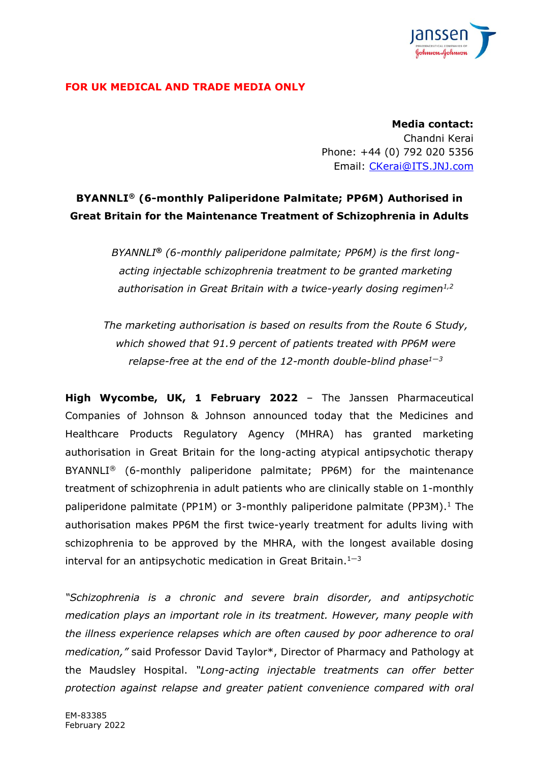

## **FOR UK MEDICAL AND TRADE MEDIA ONLY**

<span id="page-0-2"></span><span id="page-0-0"></span>**Media contact:** Chandni Kerai Phone: +44 (0) 792 020 5356 Email: [CKerai@ITS.JNJ.com](mailto:CKerai@ITS.JNJ.com)

# **BYANNLI® (6-monthly Paliperidone Palmitate; PP6M) Authorised in Great Britain for the Maintenance Treatment of Schizophrenia in Adults**

*BYANNLI® (6-monthly paliperidone palmitate; PP6M) is the first longacting injectable schizophrenia treatment to be granted marketing authorisation in Great Britain with a twice-yearly dosing regimen1,2*

*The marketing authorisation is based on results from the Route 6 Study, which showed that 91.9 percent of patients treated with PP6M were relapse-free at the end of the 12-month double-blind phase [1](#page-0-0)—[3](#page-0-1)*

**High Wycombe, UK, 1 February 2022** – The Janssen Pharmaceutical Companies of Johnson & Johnson announced today that the Medicines and Healthcare Products Regulatory Agency (MHRA) has granted marketing authorisation in Great Britain for the long-acting atypical antipsychotic therapy BYANNLI® (6-monthly paliperidone palmitate; PP6M) for the maintenance treatment of schizophrenia in adult patients who are clinically stable on 1-monthly paliperidone palmitate (PP1M) or 3-monthly paliperidone palmitate (PP3M).<sup>1</sup> The authorisation makes PP6M the first twice-yearly treatment for adults living with schizophrenia to be approved by the MHRA, with the longest available dosing interval for an antipsychotic medication in Great Britain. $1-3$  $1-3$ 

<span id="page-0-1"></span>*"Schizophrenia is a chronic and severe brain disorder, and antipsychotic medication plays an important role in its treatment. However, many people with the illness experience relapses which are often caused by poor adherence to oral medication,"* said Professor David Taylor\*, Director of Pharmacy and Pathology at the Maudsley Hospital. *"Long-acting injectable treatments can offer better protection against relapse and greater patient convenience compared with oral*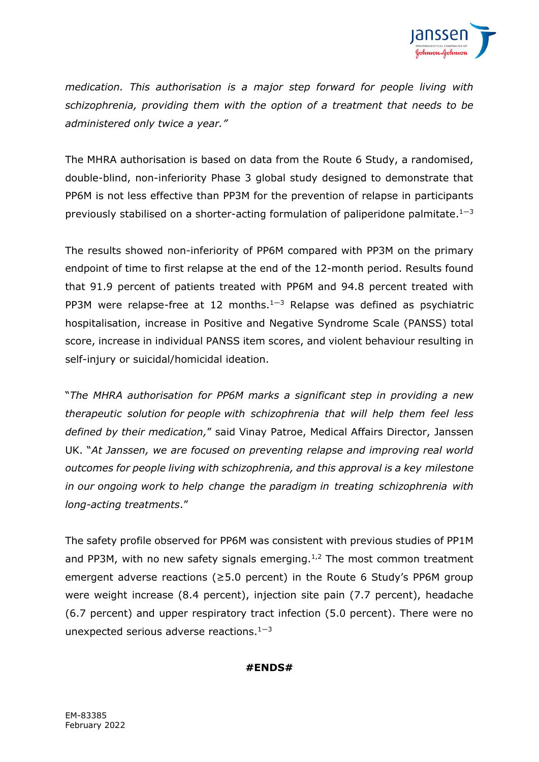

*medication. This authorisation is a major step forward for people living with schizophrenia, providing them with the option of a treatment that needs to be administered only twice a year."*

The MHRA authorisation is based on data from the Route 6 Study, a randomised, double-blind, non-inferiority Phase 3 global study designed to demonstrate that PP6M is not less effective than PP3M for the prevention of relapse in participants previously stabilised on a shorter-acting formulation of paliperidone palmitate. $1-3$  $1-3$  $1-3$ 

The results showed non-inferiority of PP6M compared with PP3M on the primary endpoint of time to first relapse at the end of the 12-month period. Results found that 91.9 percent of patients treated with PP6M and 94.8 percent treated with PP3M were relapse-free at [1](#page-0-0)2 months. $1-3$  $1-3$  Relapse was defined as psychiatric hospitalisation, increase in Positive and Negative Syndrome Scale (PANSS) total score, increase in individual PANSS item scores, and violent behaviour resulting in self-injury or suicidal/homicidal ideation.

"*The MHRA authorisation for PP6M marks a significant step in providing a new therapeutic solution for people with schizophrenia that will help them feel less defined by their medication,*" said Vinay Patroe, Medical Affairs Director, Janssen UK. "*At Janssen, we are focused on preventing relapse and improving real world outcomes for people living with schizophrenia, and this approval is a key milestone in our ongoing work to help change the paradigm in treating schizophrenia with long-acting treatments*."

The safety profile observed for PP6M was consistent with previous studies of PP1M and PP3M, with no new safety signals emerging.<sup>[1,](#page-0-0)[2](#page-0-2)</sup> The most common treatment emergent adverse reactions ( $\geq$ 5.0 percent) in the Route 6 Study's PP6M group were weight increase (8.4 percent), injection site pain (7.7 percent), headache (6.7 percent) and upper respiratory tract infection (5.0 percent). There were no unexpected serious adverse reactions. $1-3$  $1-3$  $1-3$ 

#### **#ENDS#**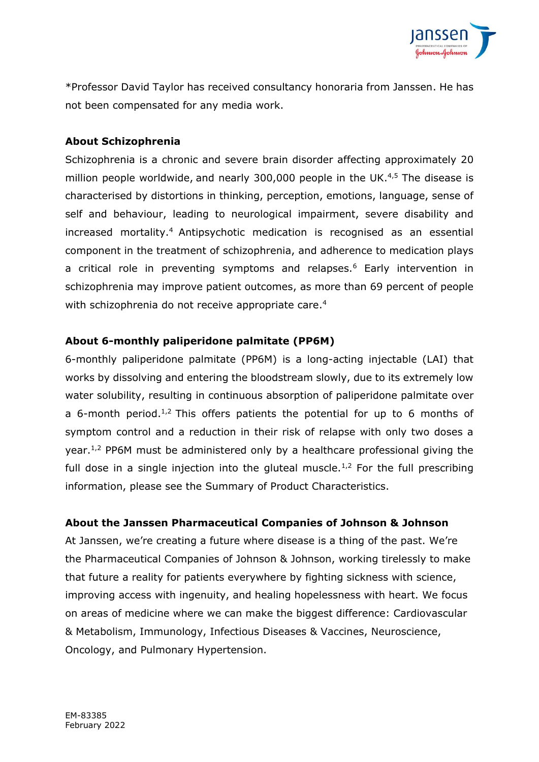<span id="page-2-0"></span>

\*Professor David Taylor has received consultancy honoraria from Janssen. He has not been compensated for any media work.

## **About Schizophrenia**

Schizophrenia is a chronic and severe brain disorder affecting approximately 20 million people worldwide, and nearly 300,000 people in the UK.<sup>4,5</sup> The disease is characterised by distortions in thinking, perception, emotions, language, sense of self and behaviour, leading to neurological impairment, severe disability and increased mortality.[4](#page-2-0) Antipsychotic medication is recognised as an essential component in the treatment of schizophrenia, and adherence to medication plays a critical role in preventing symptoms and relapses.<sup>6</sup> Early intervention in schizophrenia may improve patient outcomes, as more than 69 percent of people with schizophrenia do not receive appropriate care.<sup>[4](#page-2-0)</sup>

# **About 6-monthly paliperidone palmitate (PP6M)**

6-monthly paliperidone palmitate (PP6M) is a long-acting injectable (LAI) that works by dissolving and entering the bloodstream slowly, due to its extremely low water solubility, resulting in continuous absorption of paliperidone palmitate over a 6-month period.<sup>[1,](#page-0-0)[2](#page-0-2)</sup> This offers patients the potential for up to 6 months of symptom control and a reduction in their risk of relapse with only two doses a year.1[,2](#page-0-2) PP6M must be administered only by a healthcare professional giving the full dose in a single injection into the gluteal muscle.<sup>[1,](#page-0-0)[2](#page-0-2)</sup> For the full prescribing information, please see the Summary of Product Characteristics.

### **About the Janssen Pharmaceutical Companies of Johnson & Johnson**

At Janssen, we're creating a future where disease is a thing of the past. We're the Pharmaceutical Companies of Johnson & Johnson, working tirelessly to make that future a reality for patients everywhere by fighting sickness with science, improving access with ingenuity, and healing hopelessness with heart. We focus on areas of medicine where we can make the biggest difference: Cardiovascular & Metabolism, Immunology, Infectious Diseases & Vaccines, Neuroscience, Oncology, and Pulmonary Hypertension.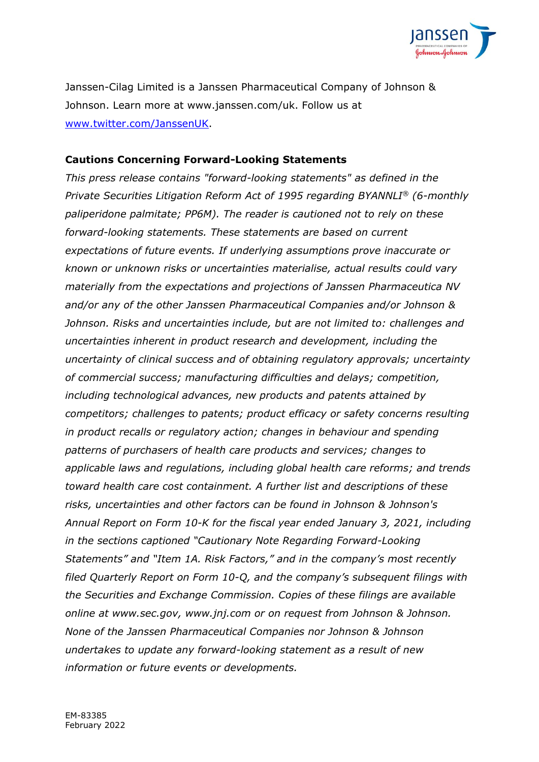

Janssen-Cilag Limited is a Janssen Pharmaceutical Company of Johnson & Johnson. Learn more at www.janssen.com/uk. Follow us at [www.twitter.com/JanssenUK.](http://www.twitter.com/JanssenUK)

#### **Cautions Concerning Forward-Looking Statements**

*This press release contains "forward-looking statements" as defined in the Private Securities Litigation Reform Act of 1995 regarding BYANNLI® (6-monthly paliperidone palmitate; PP6M). The reader is cautioned not to rely on these forward-looking statements. These statements are based on current expectations of future events. If underlying assumptions prove inaccurate or known or unknown risks or uncertainties materialise, actual results could vary materially from the expectations and projections of Janssen Pharmaceutica NV and/or any of the other Janssen Pharmaceutical Companies and/or Johnson & Johnson. Risks and uncertainties include, but are not limited to: challenges and uncertainties inherent in product research and development, including the uncertainty of clinical success and of obtaining regulatory approvals; uncertainty of commercial success; manufacturing difficulties and delays; competition, including technological advances, new products and patents attained by competitors; challenges to patents; product efficacy or safety concerns resulting in product recalls or regulatory action; changes in behaviour and spending patterns of purchasers of health care products and services; changes to applicable laws and regulations, including global health care reforms; and trends toward health care cost containment. A further list and descriptions of these risks, uncertainties and other factors can be found in Johnson & Johnson's Annual Report on Form 10-K for the fiscal year ended January 3, 2021, including in the sections captioned "Cautionary Note Regarding Forward-Looking Statements" and "Item 1A. Risk Factors," and in the company's most recently filed Quarterly Report on Form 10-Q, and the company's subsequent filings with the Securities and Exchange Commission. Copies of these filings are available online at www.sec.gov, www.jnj.com or on request from Johnson & Johnson. None of the Janssen Pharmaceutical Companies nor Johnson & Johnson undertakes to update any forward-looking statement as a result of new information or future events or developments.*